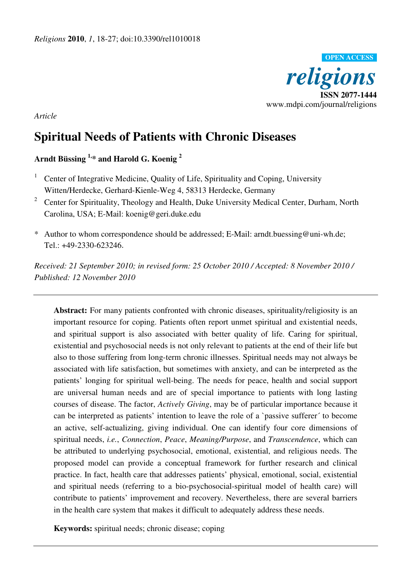

*Article* 

# **Spiritual Needs of Patients with Chronic Diseases**

## **Arndt Büssing 1,\* and Harold G. Koenig <sup>2</sup>**

- 1 Center of Integrative Medicine, Quality of Life, Spirituality and Coping, University Witten/Herdecke, Gerhard-Kienle-Weg 4, 58313 Herdecke, Germany
- 2 Center for Spirituality, Theology and Health, Duke University Medical Center, Durham, North Carolina, USA; E-Mail: koenig@geri.duke.edu
- \* Author to whom correspondence should be addressed; E-Mail: arndt.buessing@uni-wh.de; Tel.: +49-2330-623246.

*Received: 21 September 2010; in revised form: 25 October 2010 / Accepted: 8 November 2010 / Published: 12 November 2010* 

**Abstract:** For many patients confronted with chronic diseases, spirituality/religiosity is an important resource for coping. Patients often report unmet spiritual and existential needs, and spiritual support is also associated with better quality of life. Caring for spiritual, existential and psychosocial needs is not only relevant to patients at the end of their life but also to those suffering from long-term chronic illnesses. Spiritual needs may not always be associated with life satisfaction, but sometimes with anxiety, and can be interpreted as the patients' longing for spiritual well-being. The needs for peace, health and social support are universal human needs and are of special importance to patients with long lasting courses of disease. The factor, *Actively Giving*, may be of particular importance because it can be interpreted as patients' intention to leave the role of a `passive sufferer´ to become an active, self-actualizing, giving individual. One can identify four core dimensions of spiritual needs, *i.e.*, *Connection*, *Peace*, *Meaning/Purpose*, and *Transcendence*, which can be attributed to underlying psychosocial, emotional, existential, and religious needs. The proposed model can provide a conceptual framework for further research and clinical practice. In fact, health care that addresses patients' physical, emotional, social, existential and spiritual needs (referring to a bio-psychosocial-spiritual model of health care) will contribute to patients' improvement and recovery. Nevertheless, there are several barriers in the health care system that makes it difficult to adequately address these needs.

**Keywords:** spiritual needs; chronic disease; coping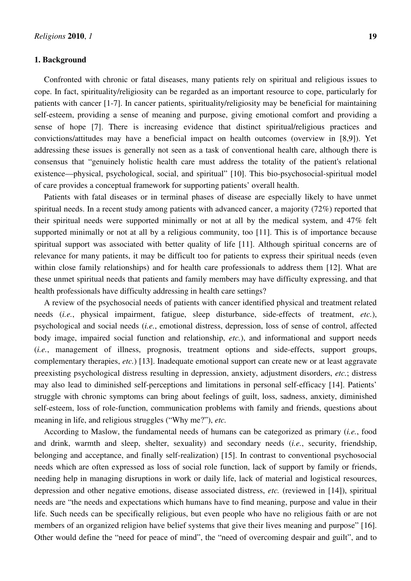#### **1. Background**

Confronted with chronic or fatal diseases, many patients rely on spiritual and religious issues to cope. In fact, spirituality/religiosity can be regarded as an important resource to cope, particularly for patients with cancer [1-7]. In cancer patients, spirituality/religiosity may be beneficial for maintaining self-esteem, providing a sense of meaning and purpose, giving emotional comfort and providing a sense of hope [7]. There is increasing evidence that distinct spiritual/religious practices and convictions/attitudes may have a beneficial impact on health outcomes (overview in [8,9]). Yet addressing these issues is generally not seen as a task of conventional health care, although there is consensus that "genuinely holistic health care must address the totality of the patient's relational existence—physical, psychological, social, and spiritual" [10]. This bio-psychosocial-spiritual model of care provides a conceptual framework for supporting patients' overall health.

Patients with fatal diseases or in terminal phases of disease are especially likely to have unmet spiritual needs. In a recent study among patients with advanced cancer, a majority (72%) reported that their spiritual needs were supported minimally or not at all by the medical system, and 47% felt supported minimally or not at all by a religious community, too [11]. This is of importance because spiritual support was associated with better quality of life [11]. Although spiritual concerns are of relevance for many patients, it may be difficult too for patients to express their spiritual needs (even within close family relationships) and for health care professionals to address them [12]. What are these unmet spiritual needs that patients and family members may have difficulty expressing, and that health professionals have difficulty addressing in health care settings?

A review of the psychosocial needs of patients with cancer identified physical and treatment related needs (*i.e.*, physical impairment, fatigue, sleep disturbance, side-effects of treatment, *etc.*), psychological and social needs (*i.e.*, emotional distress, depression, loss of sense of control, affected body image, impaired social function and relationship, *etc.*), and informational and support needs (*i.e.*, management of illness, prognosis, treatment options and side-effects, support groups, complementary therapies, *etc.*) [13]. Inadequate emotional support can create new or at least aggravate preexisting psychological distress resulting in depression, anxiety, adjustment disorders, *etc.*; distress may also lead to diminished self-perceptions and limitations in personal self-efficacy [14]. Patients' struggle with chronic symptoms can bring about feelings of guilt, loss, sadness, anxiety, diminished self-esteem, loss of role-function, communication problems with family and friends, questions about meaning in life, and religious struggles ("Why me?"), *etc.*

According to Maslow, the fundamental needs of humans can be categorized as primary (*i.e.*, food and drink, warmth and sleep, shelter, sexuality) and secondary needs (*i.e.*, security, friendship, belonging and acceptance, and finally self-realization) [15]. In contrast to conventional psychosocial needs which are often expressed as loss of social role function, lack of support by family or friends, needing help in managing disruptions in work or daily life, lack of material and logistical resources, depression and other negative emotions, disease associated distress, *etc.* (reviewed in [14]), spiritual needs are "the needs and expectations which humans have to find meaning, purpose and value in their life. Such needs can be specifically religious, but even people who have no religious faith or are not members of an organized religion have belief systems that give their lives meaning and purpose" [16]. Other would define the "need for peace of mind", the "need of overcoming despair and guilt", and to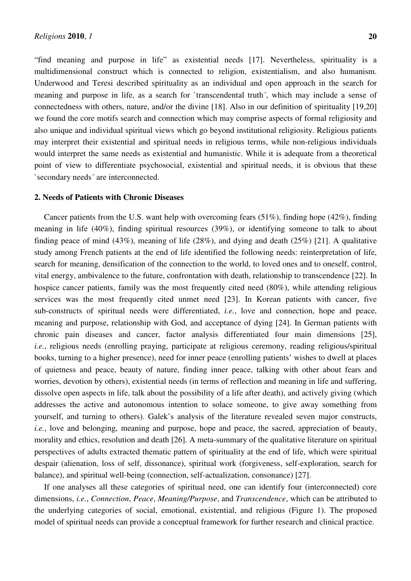"find meaning and purpose in life" as existential needs [17]. Nevertheless, spirituality is a multidimensional construct which is connected to religion, existentialism, and also humanism. Underwood and Teresi described spirituality as an individual and open approach in the search for meaning and purpose in life, as a search for `transcendental truth´, which may include a sense of connectedness with others, nature, and/or the divine [18]. Also in our definition of spirituality [19,20] we found the core motifs search and connection which may comprise aspects of formal religiosity and also unique and individual spiritual views which go beyond institutional religiosity. Religious patients may interpret their existential and spiritual needs in religious terms, while non-religious individuals would interpret the same needs as existential and humanistic. While it is adequate from a theoretical point of view to differentiate psychosocial, existential and spiritual needs, it is obvious that these `secondary needs´ are interconnected.

#### **2. Needs of Patients with Chronic Diseases**

Cancer patients from the U.S. want help with overcoming fears (51%), finding hope (42%), finding meaning in life (40%), finding spiritual resources (39%), or identifying someone to talk to about finding peace of mind (43%), meaning of life (28%), and dying and death (25%) [21]. A qualitative study among French patients at the end of life identified the following needs: reinterpretation of life, search for meaning, densification of the connection to the world, to loved ones and to oneself, control, vital energy, ambivalence to the future, confrontation with death, relationship to transcendence [22]. In hospice cancer patients, family was the most frequently cited need (80%), while attending religious services was the most frequently cited unmet need [23]. In Korean patients with cancer, five sub-constructs of spiritual needs were differentiated, *i.e.*, love and connection, hope and peace, meaning and purpose, relationship with God, and acceptance of dying [24]. In German patients with chronic pain diseases and cancer, factor analysis differentiated four main dimensions [25], *i.e.*, religious needs (enrolling praying, participate at religious ceremony, reading religious/spiritual books, turning to a higher presence), need for inner peace (enrolling patients' wishes to dwell at places of quietness and peace, beauty of nature, finding inner peace, talking with other about fears and worries, devotion by others), existential needs (in terms of reflection and meaning in life and suffering, dissolve open aspects in life, talk about the possibility of a life after death), and actively giving (which addresses the active and autonomous intention to solace someone, to give away something from yourself, and turning to others). Galek's analysis of the literature revealed seven major constructs, *i.e.*, love and belonging, meaning and purpose, hope and peace, the sacred, appreciation of beauty, morality and ethics, resolution and death [26]. A meta-summary of the qualitative literature on spiritual perspectives of adults extracted thematic pattern of spirituality at the end of life, which were spiritual despair (alienation, loss of self, dissonance), spiritual work (forgiveness, self-exploration, search for balance), and spiritual well-being (connection, self-actualization, consonance) [27].

If one analyses all these categories of spiritual need, one can identify four (interconnected) core dimensions, *i.e.*, *Connection*, *Peace*, *Meaning/Purpose*, and *Transcendence*, which can be attributed to the underlying categories of social, emotional, existential, and religious (Figure 1). The proposed model of spiritual needs can provide a conceptual framework for further research and clinical practice.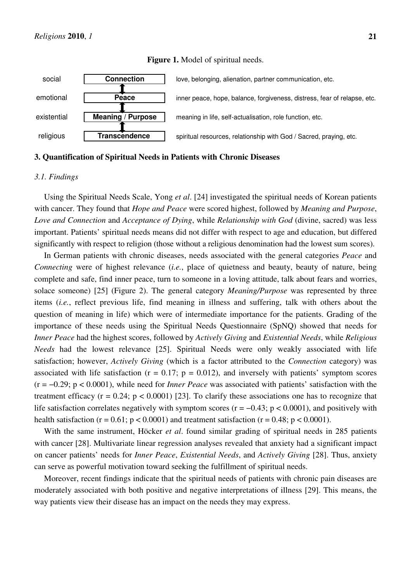

#### **Figure 1.** Model of spiritual needs.

## **3. Quantification of Spiritual Needs in Patients with Chronic Diseases**

#### *3.1. Findings*

Using the Spiritual Needs Scale, Yong *et al*. [24] investigated the spiritual needs of Korean patients with cancer. They found that *Hope and Peace* were scored highest, followed by *Meaning and Purpose*, *Love and Connection* and *Acceptance of Dying*, while *Relationship with God* (divine, sacred) was less important. Patients' spiritual needs means did not differ with respect to age and education, but differed significantly with respect to religion (those without a religious denomination had the lowest sum scores).

In German patients with chronic diseases, needs associated with the general categories *Peace* and *Connecting* were of highest relevance (*i.e.*, place of quietness and beauty, beauty of nature, being complete and safe, find inner peace, turn to someone in a loving attitude, talk about fears and worries, solace someone) [25] (Figure 2). The general category *Meaning/Purpose* was represented by three items (*i.e.*, reflect previous life, find meaning in illness and suffering, talk with others about the question of meaning in life) which were of intermediate importance for the patients. Grading of the importance of these needs using the Spiritual Needs Questionnaire (SpNQ) showed that needs for *Inner Peace* had the highest scores, followed by *Actively Giving* and *Existential Needs*, while *Religious Needs* had the lowest relevance [25]. Spiritual Needs were only weakly associated with life satisfaction; however, *Actively Giving* (which is a factor attributed to the *Connection* category) was associated with life satisfaction ( $r = 0.17$ ;  $p = 0.012$ ), and inversely with patients' symptom scores (r = −0.29; p < 0.0001), while need for *Inner Peace* was associated with patients' satisfaction with the treatment efficacy ( $r = 0.24$ ;  $p < 0.0001$ ) [23]. To clarify these associations one has to recognize that life satisfaction correlates negatively with symptom scores ( $r = -0.43$ ;  $p < 0.0001$ ), and positively with health satisfaction ( $r = 0.61$ ;  $p < 0.0001$ ) and treatment satisfaction ( $r = 0.48$ ;  $p < 0.0001$ ).

With the same instrument, Höcker *et al*. found similar grading of spiritual needs in 285 patients with cancer [28]. Multivariate linear regression analyses revealed that anxiety had a significant impact on cancer patients' needs for *Inner Peace*, *Existential Needs*, and *Actively Giving* [28]. Thus, anxiety can serve as powerful motivation toward seeking the fulfillment of spiritual needs.

Moreover, recent findings indicate that the spiritual needs of patients with chronic pain diseases are moderately associated with both positive and negative interpretations of illness [29]. This means, the way patients view their disease has an impact on the needs they may express.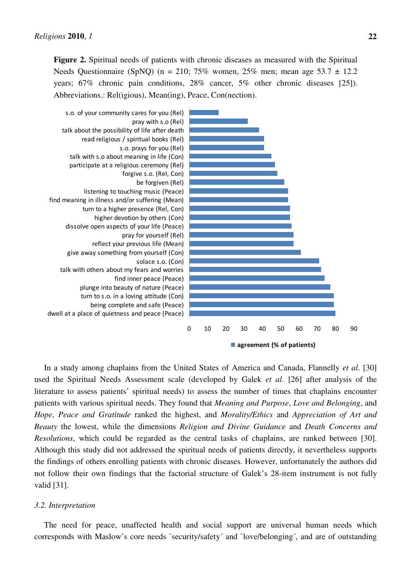**Figure 2.** Spiritual needs of patients with chronic diseases as measured with the Spiritual Needs Questionnaire (SpNQ) (n = 210; 75% women, 25% men; mean age 53.7  $\pm$  12.2 years; 67% chronic pain conditions, 28% cancer, 5% other chronic diseases [25]). Abbreviations.: Rel(igious), Mean(ing), Peace, Con(nection).



In a study among chaplains from the United States of America and Canada, Flannelly *et al*. [30] used the Spiritual Needs Assessment scale (developed by Galek *et al*. [26] after analysis of the literature to assess patients' spiritual needs) to assess the number of times that chaplains encounter patients with various spiritual needs. They found that *Meaning and Purpose*, *Love and Belonging*, and *Hope*, *Peace and Gratitude* ranked the highest, and *Morality/Ethics* and *Appreciation of Art and Beauty* the lowest, while the dimensions *Religion and Divine Guidance* and *Death Concerns and Resolutions*, which could be regarded as the central tasks of chaplains, are ranked between [30]. Although this study did not addressed the spiritual needs of patients directly, it nevertheless supports the findings of others enrolling patients with chronic diseases. However, unfortunately the authors did not follow their own findings that the factorial structure of Galek's 28-item instrument is not fully valid [31].

#### *3.2. Interpretation*

The need for peace, unaffected health and social support are universal human needs which corresponds with Maslow's core needs `security/safety´ and `love/belonging´, and are of outstanding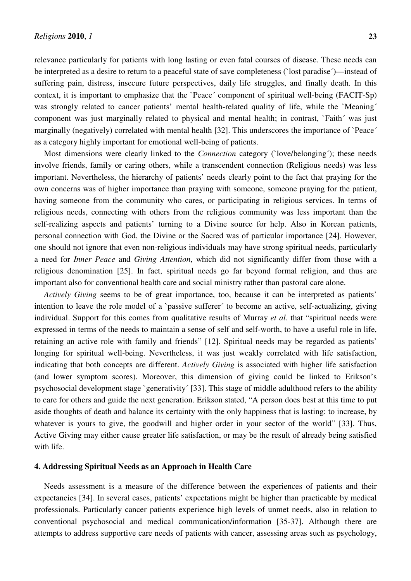relevance particularly for patients with long lasting or even fatal courses of disease. These needs can be interpreted as a desire to return to a peaceful state of save completeness (`lost paradise´)—instead of suffering pain, distress, insecure future perspectives, daily life struggles, and finally death. In this context, it is important to emphasize that the `Peace´ component of spiritual well-being (FACIT-Sp) was strongly related to cancer patients' mental health-related quality of life, while the `Meaning´ component was just marginally related to physical and mental health; in contrast, `Faith´ was just marginally (negatively) correlated with mental health [32]. This underscores the importance of `Peace´ as a category highly important for emotional well-being of patients.

Most dimensions were clearly linked to the *Connection* category (`love/belonging´); these needs involve friends, family or caring others, while a transcendent connection (Religious needs) was less important. Nevertheless, the hierarchy of patients' needs clearly point to the fact that praying for the own concerns was of higher importance than praying with someone, someone praying for the patient, having someone from the community who cares, or participating in religious services. In terms of religious needs, connecting with others from the religious community was less important than the self-realizing aspects and patients' turning to a Divine source for help. Also in Korean patients, personal connection with God, the Divine or the Sacred was of particular importance [24]. However, one should not ignore that even non-religious individuals may have strong spiritual needs, particularly a need for *Inner Peace* and *Giving Attention*, which did not significantly differ from those with a religious denomination [25]. In fact, spiritual needs go far beyond formal religion, and thus are important also for conventional health care and social ministry rather than pastoral care alone.

*Actively Giving* seems to be of great importance, too, because it can be interpreted as patients' intention to leave the role model of a `passive sufferer´ to become an active, self-actualizing, giving individual. Support for this comes from qualitative results of Murray *et al*. that "spiritual needs were expressed in terms of the needs to maintain a sense of self and self-worth, to have a useful role in life, retaining an active role with family and friends" [12]. Spiritual needs may be regarded as patients' longing for spiritual well-being. Nevertheless, it was just weakly correlated with life satisfaction, indicating that both concepts are different. *Actively Giving* is associated with higher life satisfaction (and lower symptom scores). Moreover, this dimension of giving could be linked to Erikson's psychosocial development stage `generativity´ [33]. This stage of middle adulthood refers to the ability to care for others and guide the next generation. Erikson stated, "A person does best at this time to put aside thoughts of death and balance its certainty with the only happiness that is lasting: to increase, by whatever is yours to give, the goodwill and higher order in your sector of the world" [33]. Thus, Active Giving may either cause greater life satisfaction, or may be the result of already being satisfied with life.

### **4. Addressing Spiritual Needs as an Approach in Health Care**

Needs assessment is a measure of the difference between the experiences of patients and their expectancies [34]. In several cases, patients' expectations might be higher than practicable by medical professionals. Particularly cancer patients experience high levels of unmet needs, also in relation to conventional psychosocial and medical communication/information [35-37]. Although there are attempts to address supportive care needs of patients with cancer, assessing areas such as psychology,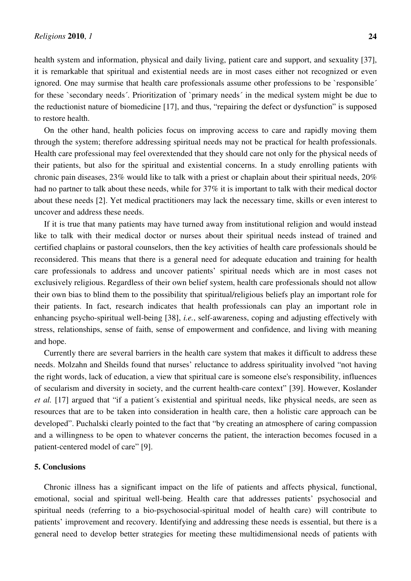health system and information, physical and daily living, patient care and support, and sexuality [37], it is remarkable that spiritual and existential needs are in most cases either not recognized or even ignored. One may surmise that health care professionals assume other professions to be `responsible´ for these `secondary needs´. Prioritization of `primary needs´ in the medical system might be due to the reductionist nature of biomedicine [17], and thus, "repairing the defect or dysfunction" is supposed to restore health.

On the other hand, health policies focus on improving access to care and rapidly moving them through the system; therefore addressing spiritual needs may not be practical for health professionals. Health care professional may feel overextended that they should care not only for the physical needs of their patients, but also for the spiritual and existential concerns. In a study enrolling patients with chronic pain diseases, 23% would like to talk with a priest or chaplain about their spiritual needs, 20% had no partner to talk about these needs, while for 37% it is important to talk with their medical doctor about these needs [2]. Yet medical practitioners may lack the necessary time, skills or even interest to uncover and address these needs.

If it is true that many patients may have turned away from institutional religion and would instead like to talk with their medical doctor or nurses about their spiritual needs instead of trained and certified chaplains or pastoral counselors, then the key activities of health care professionals should be reconsidered. This means that there is a general need for adequate education and training for health care professionals to address and uncover patients' spiritual needs which are in most cases not exclusively religious. Regardless of their own belief system, health care professionals should not allow their own bias to blind them to the possibility that spiritual/religious beliefs play an important role for their patients. In fact, research indicates that health professionals can play an important role in enhancing psycho-spiritual well-being [38], *i.e.*, self-awareness, coping and adjusting effectively with stress, relationships, sense of faith, sense of empowerment and confidence, and living with meaning and hope.

Currently there are several barriers in the health care system that makes it difficult to address these needs. Molzahn and Sheilds found that nurses' reluctance to address spirituality involved "not having the right words, lack of education, a view that spiritual care is someone else's responsibility, influences of secularism and diversity in society, and the current health-care context" [39]. However, Koslander *et al.* [17] argued that "if a patient´s existential and spiritual needs, like physical needs, are seen as resources that are to be taken into consideration in health care, then a holistic care approach can be developed". Puchalski clearly pointed to the fact that "by creating an atmosphere of caring compassion and a willingness to be open to whatever concerns the patient, the interaction becomes focused in a patient-centered model of care" [9].

#### **5. Conclusions**

Chronic illness has a significant impact on the life of patients and affects physical, functional, emotional, social and spiritual well-being. Health care that addresses patients' psychosocial and spiritual needs (referring to a bio-psychosocial-spiritual model of health care) will contribute to patients' improvement and recovery. Identifying and addressing these needs is essential, but there is a general need to develop better strategies for meeting these multidimensional needs of patients with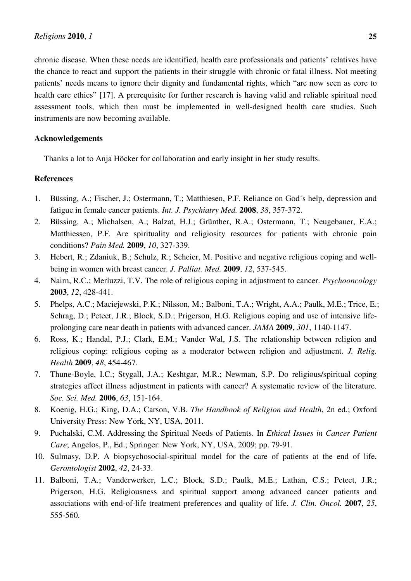chronic disease. When these needs are identified, health care professionals and patients' relatives have the chance to react and support the patients in their struggle with chronic or fatal illness. Not meeting patients' needs means to ignore their dignity and fundamental rights, which "are now seen as core to health care ethics" [17]. A prerequisite for further research is having valid and reliable spiritual need assessment tools, which then must be implemented in well-designed health care studies. Such instruments are now becoming available.

## **Acknowledgements**

Thanks a lot to Anja Höcker for collaboration and early insight in her study results.

## **References**

- 1. Büssing, A.; Fischer, J.; Ostermann, T.; Matthiesen, P.F. Reliance on God´s help, depression and fatigue in female cancer patients. *Int. J. Psychiatry Med.* **2008**, *38*, 357-372.
- 2. Büssing, A.; Michalsen, A.; Balzat, H.J.; Grünther, R.A.; Ostermann, T.; Neugebauer, E.A.; Matthiessen, P.F. Are spirituality and religiosity resources for patients with chronic pain conditions? *Pain Med.* **2009**, *10*, 327-339.
- 3. Hebert, R.; Zdaniuk, B.; Schulz, R.; Scheier, M. Positive and negative religious coping and wellbeing in women with breast cancer. *J. Palliat. Med.* **2009**, *12*, 537-545.
- 4. Nairn, R.C.; Merluzzi, T.V. The role of religious coping in adjustment to cancer. *Psychooncology* **2003**, *12*, 428-441.
- 5. Phelps, A.C.; Maciejewski, P.K.; Nilsson, M.; Balboni, T.A.; Wright, A.A.; Paulk, M.E.; Trice, E.; Schrag, D.; Peteet, J.R.; Block, S.D.; Prigerson, H.G. Religious coping and use of intensive lifeprolonging care near death in patients with advanced cancer. *JAMA* **2009**, *301*, 1140-1147.
- 6. Ross, K.; Handal, P.J.; Clark, E.M.; Vander Wal, J.S. The relationship between religion and religious coping: religious coping as a moderator between religion and adjustment. *J. Relig. Health* **2009**, *48*, 454-467.
- 7. Thune-Boyle, I.C.; Stygall, J.A.; Keshtgar, M.R.; Newman, S.P. Do religious/spiritual coping strategies affect illness adjustment in patients with cancer? A systematic review of the literature. *Soc. Sci. Med.* **2006**, *63*, 151-164.
- 8. Koenig, H.G.; King, D.A.; Carson, V.B. *The Handbook of Religion and Health*, 2n ed.; Oxford University Press: New York, NY, USA, 2011.
- 9. Puchalski, C.M. Addressing the Spiritual Needs of Patients. In *Ethical Issues in Cancer Patient Care*; Angelos, P., Ed.; Springer: New York, NY, USA, 2009; pp. 79-91.
- 10. Sulmasy, D.P. A biopsychosocial-spiritual model for the care of patients at the end of life. *Gerontologist* **2002**, *42*, 24-33.
- 11. Balboni, T.A.; Vanderwerker, L.C.; Block, S.D.; Paulk, M.E.; Lathan, C.S.; Peteet, J.R.; Prigerson, H.G. Religiousness and spiritual support among advanced cancer patients and associations with end-of-life treatment preferences and quality of life. *J. Clin. Oncol.* **2007**, *25*, 555-560.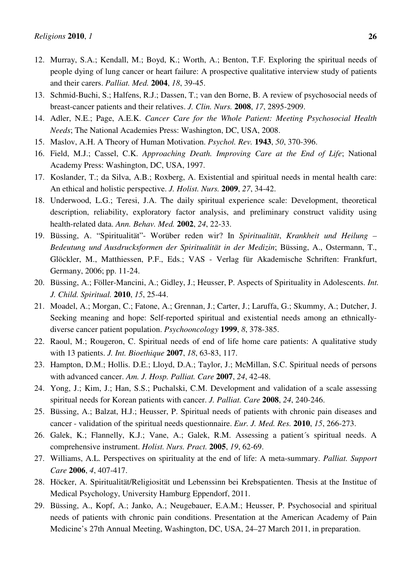- 12. Murray, S.A.; Kendall, M.; Boyd, K.; Worth, A.; Benton, T.F. Exploring the spiritual needs of people dying of lung cancer or heart failure: A prospective qualitative interview study of patients and their carers. *Palliat. Med.* **2004**, *18*, 39-45.
- 13. Schmid-Buchi, S.; Halfens, R.J.; Dassen, T.; van den Borne, B. A review of psychosocial needs of breast-cancer patients and their relatives. *J. Clin. Nurs.* **2008**, *17*, 2895-2909.
- 14. Adler, N.E.; Page, A.E.K. *Cancer Care for the Whole Patient: Meeting Psychosocial Health Needs*; The National Academies Press: Washington, DC, USA, 2008.
- 15. Maslov, A.H. A Theory of Human Motivation. *Psychol. Rev.* **1943**, *50*, 370-396.
- 16. Field, M.J.; Cassel, C.K. *Approaching Death. Improving Care at the End of Life*; National Academy Press: Washington, DC, USA, 1997.
- 17. Koslander, T.; da Silva, A.B.; Roxberg, A. Existential and spiritual needs in mental health care: An ethical and holistic perspective. *J. Holist. Nurs.* **2009**, *27*, 34-42.
- 18. Underwood, L.G.; Teresi, J.A. The daily spiritual experience scale: Development, theoretical description, reliability, exploratory factor analysis, and preliminary construct validity using health-related data. *Ann. Behav. Med.* **2002**, *24*, 22-33.
- 19. Büssing, A. "Spiritualität"- Worüber reden wir? In *Spiritualität*, *Krankheit und Heilung Bedeutung und Ausdrucksformen der Spiritualität in der Medizin*; Büssing, A., Ostermann, T., Glöckler, M., Matthiessen, P.F., Eds.; VAS - Verlag für Akademische Schriften: Frankfurt, Germany, 2006; pp. 11-24.
- 20. Büssing, A.; Föller-Mancini, A.; Gidley, J.; Heusser, P. Aspects of Spirituality in Adolescents. *Int. J. Child. Spiritual.* **2010**, *15*, 25-44.
- 21. Moadel, A.; Morgan, C.; Fatone, A.; Grennan, J.; Carter, J.; Laruffa, G.; Skummy, A.; Dutcher, J. Seeking meaning and hope: Self-reported spiritual and existential needs among an ethnicallydiverse cancer patient population. *Psychooncology* **1999**, *8*, 378-385.
- 22. Raoul, M.; Rougeron, C. Spiritual needs of end of life home care patients: A qualitative study with 13 patients. *J. Int. Bioethique* **2007**, *18*, 63-83, 117.
- 23. Hampton, D.M.; Hollis. D.E.; Lloyd, D.A.; Taylor, J.; McMillan, S.C. Spiritual needs of persons with advanced cancer. *Am. J. Hosp. Palliat. Care* **2007**, *24*, 42-48.
- 24. Yong, J.; Kim, J.; Han, S.S.; Puchalski, C.M. Development and validation of a scale assessing spiritual needs for Korean patients with cancer. *J. Palliat. Care* **2008**, *24*, 240-246.
- 25. Büssing, A.; Balzat, H.J.; Heusser, P. Spiritual needs of patients with chronic pain diseases and cancer - validation of the spiritual needs questionnaire. *Eur. J. Med. Res.* **2010**, *15*, 266-273.
- 26. Galek, K.; Flannelly, K.J.; Vane, A.; Galek, R.M. Assessing a patient´s spiritual needs. A comprehensive instrument. *Holist. Nurs. Pract.* **2005**, *19*, 62-69.
- 27. Williams, A.L. Perspectives on spirituality at the end of life: A meta-summary. *Palliat. Support Care* **2006**, *4*, 407-417.
- 28. Höcker, A. Spiritualität/Religiosität und Lebenssinn bei Krebspatienten. Thesis at the Institue of Medical Psychology, University Hamburg Eppendorf, 2011.
- 29. Büssing, A., Kopf, A.; Janko, A.; Neugebauer, E.A.M.; Heusser, P. Psychosocial and spiritual needs of patients with chronic pain conditions. Presentation at the American Academy of Pain Medicine's 27th Annual Meeting, Washington, DC, USA, 24–27 March 2011, in preparation.